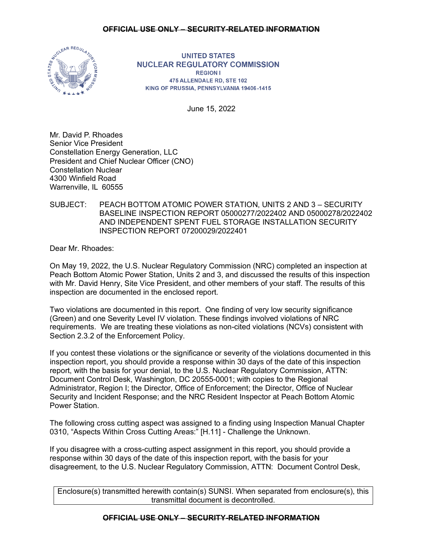# **OFFICIAL USE ONLY – SECURITY-RELATED INFORMATION**



**UNITED STATES NUCLEAR REGULATORY COMMISSION REGION I** 475 ALLENDALE RD, STE 102 KING OF PRUSSIA, PENNSYLVANIA 19406-1415

June 15, 2022

Mr. David P. Rhoades Senior Vice President Constellation Energy Generation, LLC President and Chief Nuclear Officer (CNO) Constellation Nuclear 4300 Winfield Road Warrenville, IL 60555

# SUBJECT: PEACH BOTTOM ATOMIC POWER STATION, UNITS 2 AND 3 – SECURITY BASELINE INSPECTION REPORT 05000277/2022402 AND 05000278/2022402 AND INDEPENDENT SPENT FUEL STORAGE INSTALLATION SECURITY INSPECTION REPORT 07200029/2022401

Dear Mr. Rhoades:

On May 19, 2022, the U.S. Nuclear Regulatory Commission (NRC) completed an inspection at Peach Bottom Atomic Power Station, Units 2 and 3, and discussed the results of this inspection with Mr. David Henry, Site Vice President, and other members of your staff. The results of this inspection are documented in the enclosed report.

Two violations are documented in this report. One finding of very low security significance (Green) and one Severity Level IV violation. These findings involved violations of NRC requirements. We are treating these violations as non-cited violations (NCVs) consistent with Section 2.3.2 of the Enforcement Policy.

If you contest these violations or the significance or severity of the violations documented in this inspection report, you should provide a response within 30 days of the date of this inspection report, with the basis for your denial, to the U.S. Nuclear Regulatory Commission, ATTN: Document Control Desk, Washington, DC 20555-0001; with copies to the Regional Administrator, Region I; the Director, Office of Enforcement; the Director, Office of Nuclear Security and Incident Response; and the NRC Resident Inspector at Peach Bottom Atomic Power Station.

The following cross cutting aspect was assigned to a finding using Inspection Manual Chapter 0310, "Aspects Within Cross Cutting Areas:" [H.11] - Challenge the Unknown.

If you disagree with a cross-cutting aspect assignment in this report, you should provide a response within 30 days of the date of this inspection report, with the basis for your disagreement, to the U.S. Nuclear Regulatory Commission, ATTN: Document Control Desk,

Enclosure(s) transmitted herewith contain(s) SUNSI. When separated from enclosure(s), this transmittal document is decontrolled.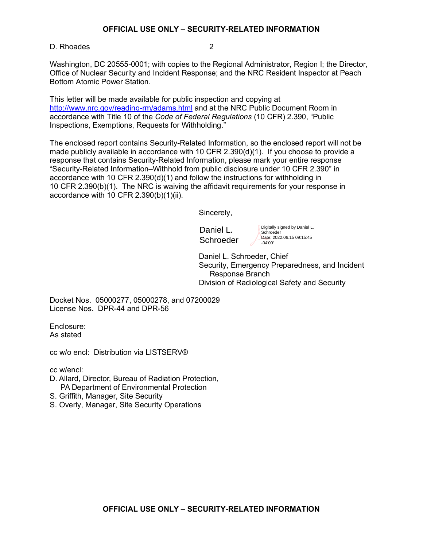D. Rhoades 2

Washington, DC 20555-0001; with copies to the Regional Administrator, Region I; the Director, Office of Nuclear Security and Incident Response; and the NRC Resident Inspector at Peach Bottom Atomic Power Station.

This letter will be made available for public inspection and copying at <http://www.nrc.gov/reading-rm/adams.html> and at the NRC Public Document Room in accordance with Title 10 of the *Code of Federal Regulations* (10 CFR) 2.390, "Public Inspections, Exemptions, Requests for Withholding."

The enclosed report contains Security-Related Information, so the enclosed report will not be made publicly available in accordance with 10 CFR 2.390(d)(1). If you choose to provide a response that contains Security-Related Information, please mark your entire response "Security-Related Information–Withhold from public disclosure under 10 CFR 2.390" in accordance with 10 CFR 2.390(d)(1) and follow the instructions for withholding in 10 CFR 2.390(b)(1). The NRC is waiving the affidavit requirements for your response in accordance with 10 CFR 2.390(b)(1)(ii).

Sincerely,

Daniel L. **Schroeder**  Digitally signed by Daniel L. **Schroeder** Date: 2022.06.15 09:15:45  $-04'00$ 

Daniel L. Schroeder, Chief Security, Emergency Preparedness, and Incident Response Branch Division of Radiological Safety and Security

Docket Nos. 05000277, 05000278, and 07200029 License Nos. DPR-44 and DPR-56

Enclosure: As stated

cc w/o encl: Distribution via LISTSERV®

cc w/encl:

- D. Allard, Director, Bureau of Radiation Protection, PA Department of Environmental Protection
- S. Griffith, Manager, Site Security
- S. Overly, Manager, Site Security Operations